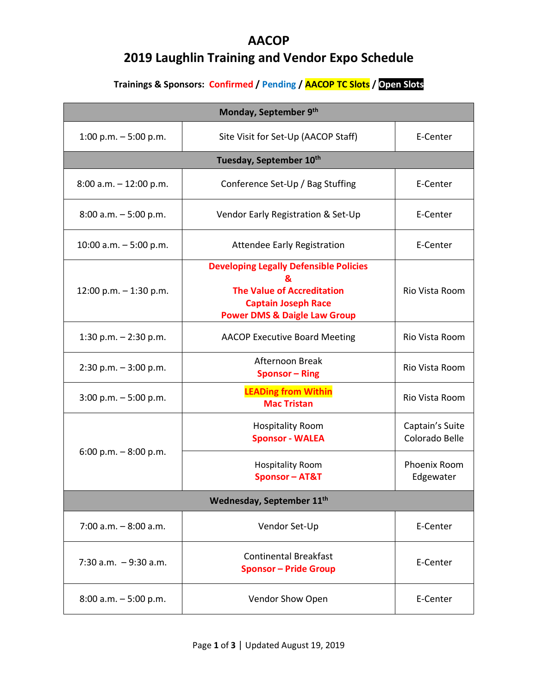## **AACOP 2019 Laughlin Training and Vendor Expo Schedule**

## **Trainings & Sponsors: Confirmed / Pending / AACOP TC Slots / Open Slots**

| Monday, September 9th     |                                                                                                                                                             |                                   |  |  |
|---------------------------|-------------------------------------------------------------------------------------------------------------------------------------------------------------|-----------------------------------|--|--|
| 1:00 p.m. $-5:00$ p.m.    | Site Visit for Set-Up (AACOP Staff)                                                                                                                         | E-Center                          |  |  |
| Tuesday, September 10th   |                                                                                                                                                             |                                   |  |  |
| $8:00$ a.m. $-12:00$ p.m. | Conference Set-Up / Bag Stuffing                                                                                                                            | E-Center                          |  |  |
| $8:00$ a.m. $-5:00$ p.m.  | Vendor Early Registration & Set-Up                                                                                                                          | E-Center                          |  |  |
| 10:00 a.m. $-5:00$ p.m.   | <b>Attendee Early Registration</b>                                                                                                                          | E-Center                          |  |  |
| 12:00 p.m. $-$ 1:30 p.m.  | <b>Developing Legally Defensible Policies</b><br><b>The Value of Accreditation</b><br><b>Captain Joseph Race</b><br><b>Power DMS &amp; Daigle Law Group</b> | Rio Vista Room                    |  |  |
| 1:30 p.m. $-$ 2:30 p.m.   | <b>AACOP Executive Board Meeting</b>                                                                                                                        | Rio Vista Room                    |  |  |
| $2:30$ p.m. $-3:00$ p.m.  | <b>Afternoon Break</b><br><b>Sponsor - Ring</b>                                                                                                             | Rio Vista Room                    |  |  |
| $3:00$ p.m. $-5:00$ p.m.  | <b>LEADing from Within</b><br><b>Mac Tristan</b>                                                                                                            | Rio Vista Room                    |  |  |
| 6:00 p.m. $-8:00$ p.m.    | <b>Hospitality Room</b><br><b>Sponsor - WALEA</b>                                                                                                           | Captain's Suite<br>Colorado Belle |  |  |
|                           | <b>Hospitality Room</b><br><b>Sponsor-AT&amp;T</b>                                                                                                          | Phoenix Room<br>Edgewater         |  |  |
| Wednesday, September 11th |                                                                                                                                                             |                                   |  |  |
| $7:00$ a.m. $-8:00$ a.m.  | Vendor Set-Up                                                                                                                                               | E-Center                          |  |  |
| 7:30 a.m. $-9:30$ a.m.    | <b>Continental Breakfast</b><br><b>Sponsor - Pride Group</b>                                                                                                | E-Center                          |  |  |
| $8:00$ a.m. $-5:00$ p.m.  | Vendor Show Open                                                                                                                                            | E-Center                          |  |  |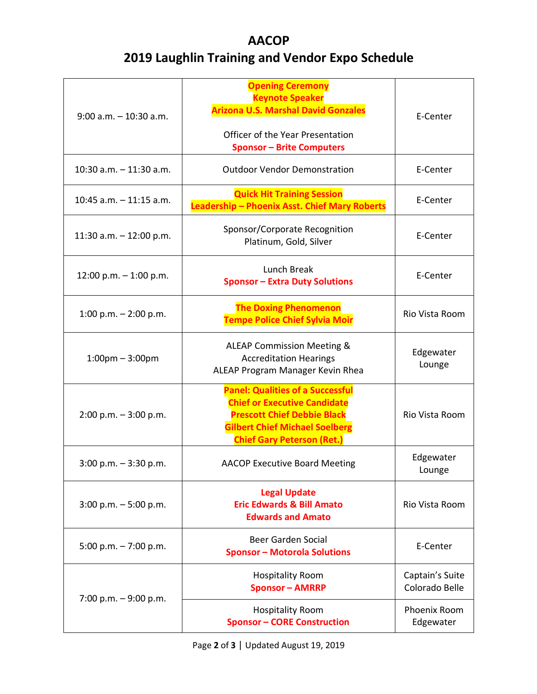## **AACOP 2019 Laughlin Training and Vendor Expo Schedule**

| $9:00$ a.m. $-10:30$ a.m.  | <b>Opening Ceremony</b><br><b>Keynote Speaker</b><br><b>Arizona U.S. Marshal David Gonzales</b><br>Officer of the Year Presentation<br><b>Sponsor - Brite Computers</b>                            | E-Center                          |
|----------------------------|----------------------------------------------------------------------------------------------------------------------------------------------------------------------------------------------------|-----------------------------------|
| $10:30$ a.m. $-11:30$ a.m. | <b>Outdoor Vendor Demonstration</b>                                                                                                                                                                | E-Center                          |
| $10:45$ a.m. $-11:15$ a.m. | <b>Quick Hit Training Session</b><br>Leadership - Phoenix Asst. Chief Mary Roberts                                                                                                                 | E-Center                          |
| 11:30 a.m. $-$ 12:00 p.m.  | Sponsor/Corporate Recognition<br>Platinum, Gold, Silver                                                                                                                                            | E-Center                          |
| 12:00 p.m. $-$ 1:00 p.m.   | Lunch Break<br><b>Sponsor - Extra Duty Solutions</b>                                                                                                                                               | E-Center                          |
| 1:00 p.m. $-$ 2:00 p.m.    | <b>The Doxing Phenomenon</b><br><b>Tempe Police Chief Sylvia Moir</b>                                                                                                                              | Rio Vista Room                    |
| $1:00$ pm $-3:00$ pm       | <b>ALEAP Commission Meeting &amp;</b><br><b>Accreditation Hearings</b><br>ALEAP Program Manager Kevin Rhea                                                                                         | Edgewater<br>Lounge               |
| $2:00$ p.m. $-3:00$ p.m.   | <b>Panel: Qualities of a Successful</b><br><b>Chief or Executive Candidate</b><br><b>Prescott Chief Debbie Black</b><br><b>Gilbert Chief Michael Soelberg</b><br><b>Chief Gary Peterson (Ret.)</b> | Rio Vista Room                    |
| $3:00$ p.m. $-3:30$ p.m.   | <b>AACOP Executive Board Meeting</b>                                                                                                                                                               | Edgewater<br>Lounge               |
| $3:00$ p.m. $-5:00$ p.m.   | <b>Legal Update</b><br><b>Eric Edwards &amp; Bill Amato</b><br><b>Edwards and Amato</b>                                                                                                            | Rio Vista Room                    |
| 5:00 p.m. $-7:00$ p.m.     | <b>Beer Garden Social</b><br><b>Sponsor - Motorola Solutions</b>                                                                                                                                   | E-Center                          |
| 7:00 p.m. $-9:00$ p.m.     | <b>Hospitality Room</b><br><b>Sponsor - AMRRP</b>                                                                                                                                                  | Captain's Suite<br>Colorado Belle |
|                            | <b>Hospitality Room</b><br><b>Sponsor - CORE Construction</b>                                                                                                                                      | Phoenix Room<br>Edgewater         |